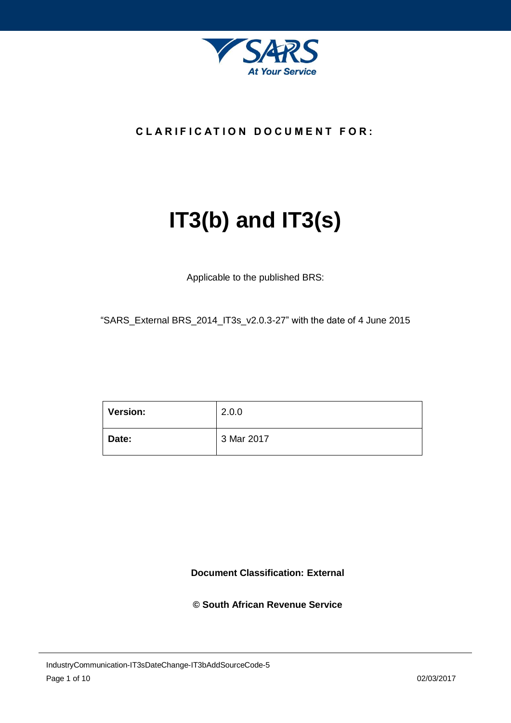

## **C L A R I F I C AT I O N D O C U M E N T F O R :**

# **IT3(b) and IT3(s)**

Applicable to the published BRS:

"SARS\_External BRS\_2014\_IT3s\_v2.0.3-27" with the date of 4 June 2015

| Version: | 2.0.0      |
|----------|------------|
| Date:    | 3 Mar 2017 |

**Document Classification: External**

**© South African Revenue Service**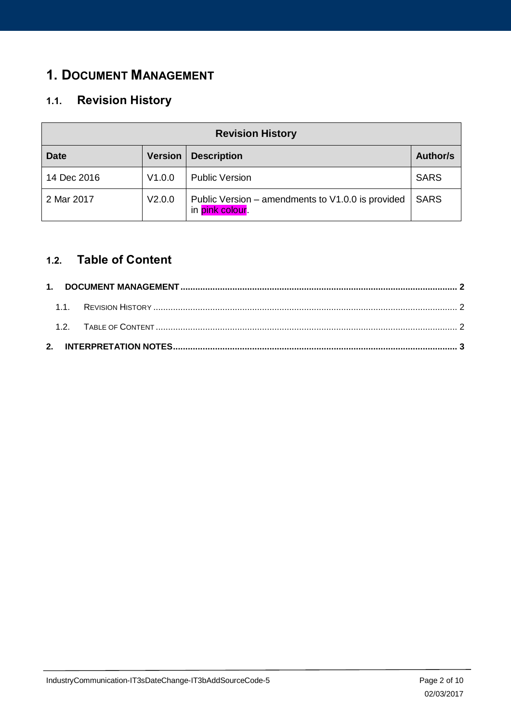# <span id="page-1-0"></span>**1. DOCUMENT MANAGEMENT**

# <span id="page-1-1"></span>**1.1. Revision History**

| <b>Revision History</b> |                |                                                                      |             |  |  |  |  |  |  |  |
|-------------------------|----------------|----------------------------------------------------------------------|-------------|--|--|--|--|--|--|--|
| <b>Date</b>             | <b>Version</b> | <b>Description</b>                                                   | Author/s    |  |  |  |  |  |  |  |
| 14 Dec 2016             | V1.0.0         | <b>Public Version</b>                                                | <b>SARS</b> |  |  |  |  |  |  |  |
| 2 Mar 2017              | V2.0.0         | Public Version – amendments to V1.0.0 is provided<br>in pink colour. | <b>SARS</b> |  |  |  |  |  |  |  |

## <span id="page-1-2"></span>**1.2. Table of Content**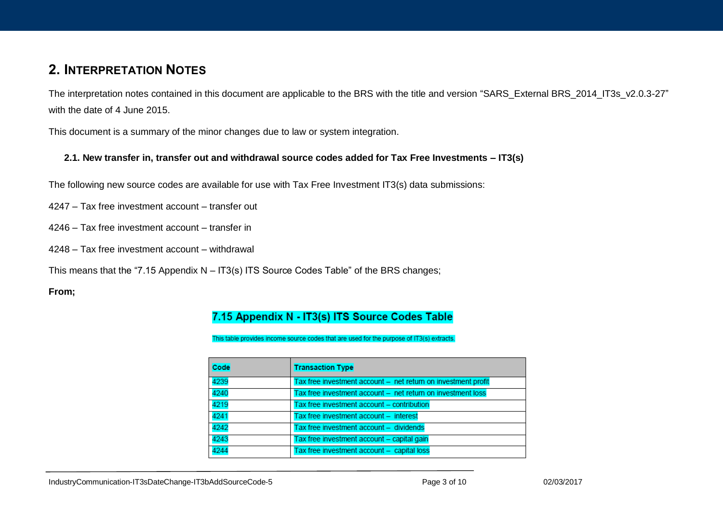# **2. INTERPRETATION NOTES**

The interpretation notes contained in this document are applicable to the BRS with the title and version "SARS\_External BRS\_2014\_IT3s\_v2.0.3-27" with the date of 4 June 2015.

This document is a summary of the minor changes due to law or system integration.

#### **2.1. New transfer in, transfer out and withdrawal source codes added for Tax Free Investments – IT3(s)**

The following new source codes are available for use with Tax Free Investment IT3(s) data submissions:

4247 – Tax free investment account – transfer out

4246 – Tax free investment account – transfer in

4248 – Tax free investment account – withdrawal

This means that the "7.15 Appendix N – IT3(s) ITS Source Codes Table" of the BRS changes;

**From;**

## 7.15 Appendix N - IT3(s) ITS Source Codes Table

This table provides income source codes that are used for the purpose of IT3(s) extracts.

| Code | <b>Transaction Type</b>                                       |
|------|---------------------------------------------------------------|
| 4239 | Tax free investment account - net return on investment profit |
| 4240 | Tax free investment account - net return on investment loss   |
| 4219 | Tax free investment account - contribution                    |
| 4241 | Tax free investment account - interest                        |
| 4242 | Tax free investment account - dividends                       |
| 4243 | Tax free investment account - capital gain                    |
| 4244 | Tax free investment account - capital loss                    |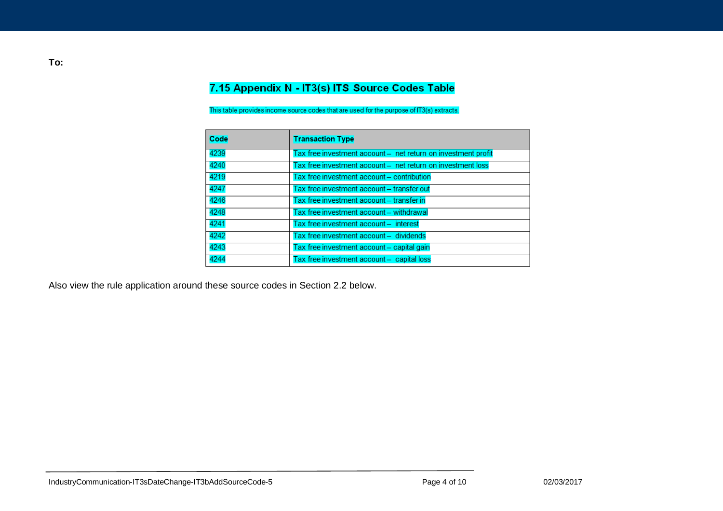## 7.15 Appendix N - IT3(s) ITS Source Codes Table

This table provides income source codes that are used for the purpose of IT3(s) extracts.

| Code | <b>Transaction Type</b>                                       |
|------|---------------------------------------------------------------|
| 4239 | Tax free investment account - net return on investment profit |
| 4240 | Tax free investment account - net return on investment loss   |
| 4219 | Tax free investment account - contribution                    |
| 4247 | Tax free investment account - transfer out                    |
| 4246 | Tax free investment account - transfer in                     |
| 4248 | Tax free investment account - withdrawal                      |
| 4241 | Tax free investment account - interest                        |
| 4242 | Tax free investment account - dividends                       |
| 4243 | Tax free investment account - capital gain                    |
| 4244 | Tax free investment account - capital loss                    |

Also view the rule application around these source codes in Section 2.2 below.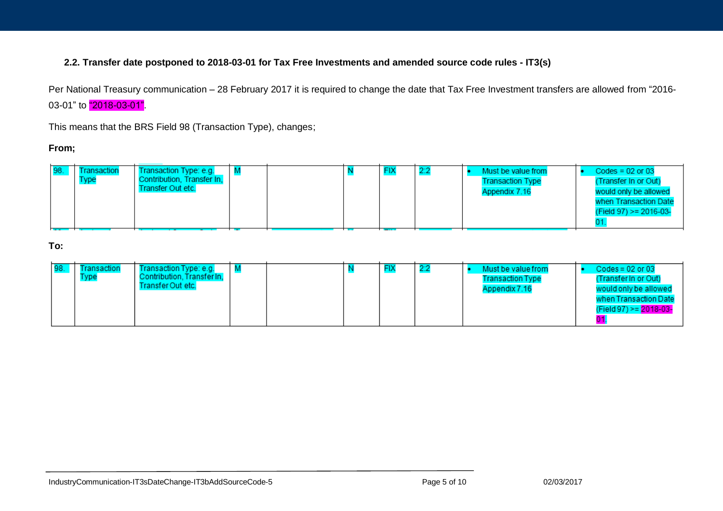#### **2.2. Transfer date postponed to 2018-03-01 for Tax Free Investments and amended source code rules - IT3(s)**

Per National Treasury communication – 28 February 2017 it is required to change the date that Tax Free Investment transfers are allowed from "2016- 03-01" to  $"2018-03-01"$ .

This means that the BRS Field 98 (Transaction Type), changes;

#### **From;**

|  | 98. | Transaction<br><b>Type</b> | Transaction Type: e.g.<br>Contribution, Transfer In,<br>Transfer Out etc. |  |  |  | <b>FIX</b> |  |  | Must be value from<br><b>Transaction Type</b><br>Appendix 7.16 |  | Codes = $02$ or $03$<br>(Transfer In or Out)<br>would only be allowed<br>when Transaction Date<br>(Field 97) >= 2016-03- |
|--|-----|----------------------------|---------------------------------------------------------------------------|--|--|--|------------|--|--|----------------------------------------------------------------|--|--------------------------------------------------------------------------------------------------------------------------|
|--|-----|----------------------------|---------------------------------------------------------------------------|--|--|--|------------|--|--|----------------------------------------------------------------|--|--------------------------------------------------------------------------------------------------------------------------|

**To:**

| 98. | Fransaction<br><b>Type</b> | Transaction Type: e.g.<br>Contribution, Transfer In,<br>Transfer Out-etc. |  |  |  |  |  | Must be value from<br><b>Transaction Type</b><br>Appendix 7.16 | $\text{Codes} = 02$ or 03<br>(Transfer In or Out)<br>would only be allowed<br>when Transaction Date<br>(Field 97) >= 2018-03- |
|-----|----------------------------|---------------------------------------------------------------------------|--|--|--|--|--|----------------------------------------------------------------|-------------------------------------------------------------------------------------------------------------------------------|
|-----|----------------------------|---------------------------------------------------------------------------|--|--|--|--|--|----------------------------------------------------------------|-------------------------------------------------------------------------------------------------------------------------------|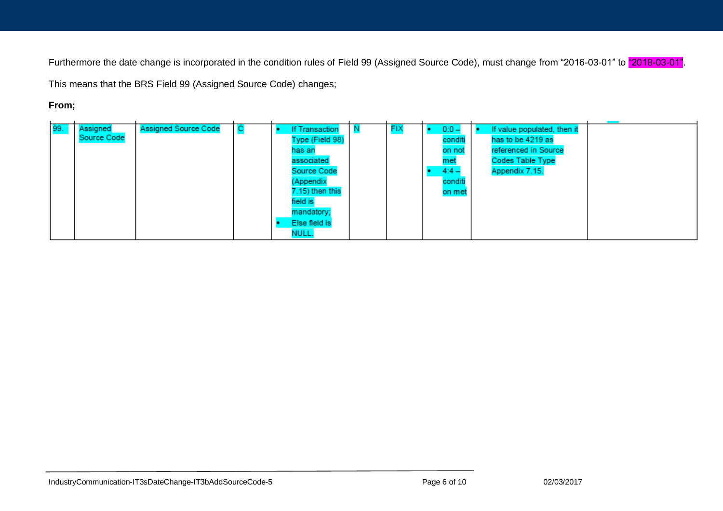Furthermore the date change is incorporated in the condition rules of Field 99 (Assigned Source Code), must change from "2016-03-01" to "2018-03-01".

This means that the BRS Field 99 (Assigned Source Code) changes;

## **From;**

| 99. | Assigned    | <b>Assigned Source Code</b> |  | <b>If Transaction</b> | FIX | $0:0 -$ | If value populated, then it |  |
|-----|-------------|-----------------------------|--|-----------------------|-----|---------|-----------------------------|--|
|     | Source Code |                             |  | Type (Field 98)       |     | conditi | has to be 4219 as           |  |
|     |             |                             |  | has an                |     | on not  | referenced in Source        |  |
|     |             |                             |  | associated            |     | met     | <b>Codes Table Type</b>     |  |
|     |             |                             |  | Source Code           |     | $4:4 -$ | Appendix 7.15.              |  |
|     |             |                             |  | (Appendix             |     | conditi |                             |  |
|     |             |                             |  | 7.15) then this       |     | on met  |                             |  |
|     |             |                             |  | field is              |     |         |                             |  |
|     |             |                             |  | mandatory;            |     |         |                             |  |
|     |             |                             |  | Else field is         |     |         |                             |  |
|     |             |                             |  | NULL.                 |     |         |                             |  |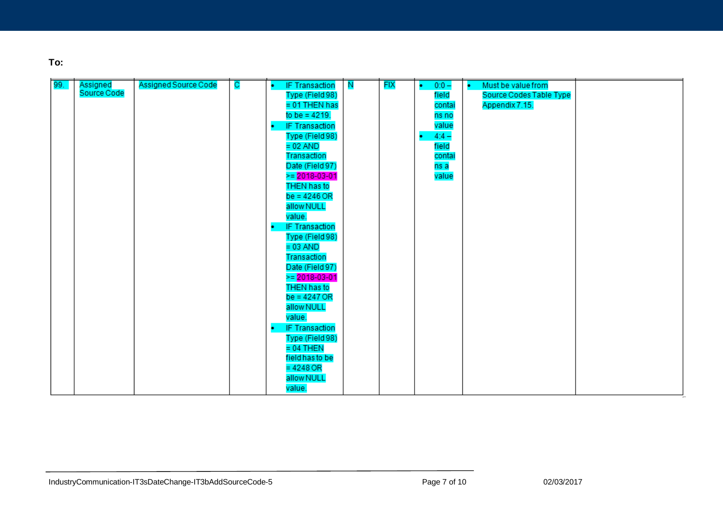**To:**

| 99. | Assigned<br>Source Code | Assigned Source Code | $\mathbf C$ | <b>IF Transaction</b>      | $\overline{\mathbf{N}}$ | <b>FIX</b> | $0:0 -$<br>۰. | Must be value from<br>۰. |
|-----|-------------------------|----------------------|-------------|----------------------------|-------------------------|------------|---------------|--------------------------|
|     |                         |                      |             | Type (Field 98)            |                         |            | field         | Source Codes Table Type  |
|     |                         |                      |             | = 01 THEN has              |                         |            | contai        | Appendix 7.15.           |
|     |                         |                      |             | to be = $4219$ .           |                         |            | ns no         |                          |
|     |                         |                      |             | <b>IF Transaction</b><br>٠ |                         |            | value         |                          |
|     |                         |                      |             | Type (Field 98)            |                         |            | $4:4 -$<br>٠  |                          |
|     |                         |                      |             | $= 02$ AND                 |                         |            | field         |                          |
|     |                         |                      |             | Transaction                |                         |            | contai        |                          |
|     |                         |                      |             | Date (Field 97)            |                         |            | ns a          |                          |
|     |                         |                      |             | $\ge$ = 2018-03-01         |                         |            | value         |                          |
|     |                         |                      |             | THEN has to                |                         |            |               |                          |
|     |                         |                      |             | $be = 4246 OR$             |                         |            |               |                          |
|     |                         |                      |             | allow NULL                 |                         |            |               |                          |
|     |                         |                      |             | value.                     |                         |            |               |                          |
|     |                         |                      |             | <b>IF Transaction</b><br>٠ |                         |            |               |                          |
|     |                         |                      |             | Type (Field 98)            |                         |            |               |                          |
|     |                         |                      |             | $= 03$ AND                 |                         |            |               |                          |
|     |                         |                      |             | Transaction                |                         |            |               |                          |
|     |                         |                      |             | Date (Field 97)            |                         |            |               |                          |
|     |                         |                      |             | $\ge$ = 2018-03-01         |                         |            |               |                          |
|     |                         |                      |             | THEN has to                |                         |            |               |                          |
|     |                         |                      |             | $be = 4247 OR$             |                         |            |               |                          |
|     |                         |                      |             | allow NULL                 |                         |            |               |                          |
|     |                         |                      |             | value.                     |                         |            |               |                          |
|     |                         |                      |             |                            |                         |            |               |                          |
|     |                         |                      |             | <b>IF Transaction</b><br>٠ |                         |            |               |                          |
|     |                         |                      |             | Type (Field 98)            |                         |            |               |                          |
|     |                         |                      |             | $= 04$ THEN                |                         |            |               |                          |
|     |                         |                      |             | field has to be            |                         |            |               |                          |
|     |                         |                      |             | $= 4248$ OR                |                         |            |               |                          |
|     |                         |                      |             | allow NULL                 |                         |            |               |                          |
|     |                         |                      |             | value.                     |                         |            |               |                          |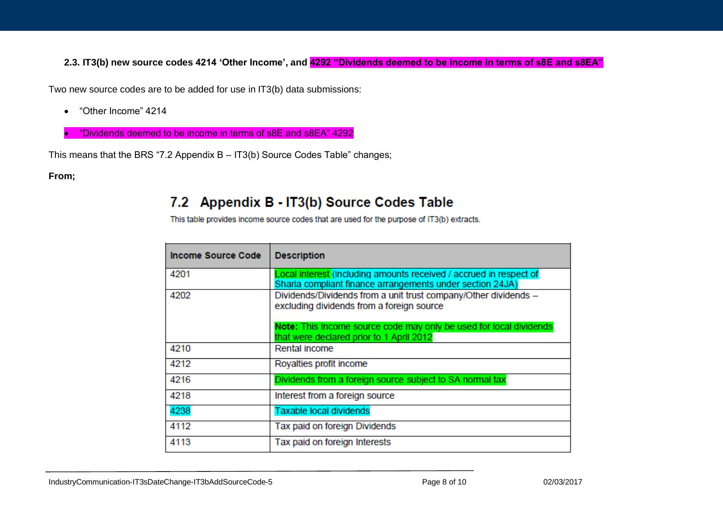**2.3. IT3(b) new source codes 4214 'Other Income', and 4292 "Dividends deemed to be income in terms of s8E and s8EA"**

Two new source codes are to be added for use in IT3(b) data submissions:

- "Other Income" 4214
- "Dividends deemed to be income in terms of s8E and s8EA" 4292

This means that the BRS "7.2 Appendix B – IT3(b) Source Codes Table" changes;

**From;**

# 7.2 Appendix B - IT3(b) Source Codes Table

This table provides income source codes that are used for the purpose of IT3(b) extracts.

| Income Source Code | <b>Description</b>                                                                                                              |
|--------------------|---------------------------------------------------------------------------------------------------------------------------------|
| 4201               | Local interest (including amounts received / accrued in respect of<br>Sharia compliant finance arrangements under section 24JA) |
| 4202               | Dividends/Dividends from a unit trust company/Other dividends -<br>excluding dividends from a foreign source                    |
|                    | Note: This Income source code may only be used for local dividends<br>that were declared prior to 1 April 2012                  |
| 4210               | Rental income                                                                                                                   |
| 4212               | Royalties profit income                                                                                                         |
| 4216               | Dividends from a foreign source subject to SA normal tax                                                                        |
| 4218               | Interest from a foreign source                                                                                                  |
| 4238               | Taxable local dividends                                                                                                         |
| 4112               | Tax paid on foreign Dividends                                                                                                   |
| 4113               | Tax paid on foreign Interests                                                                                                   |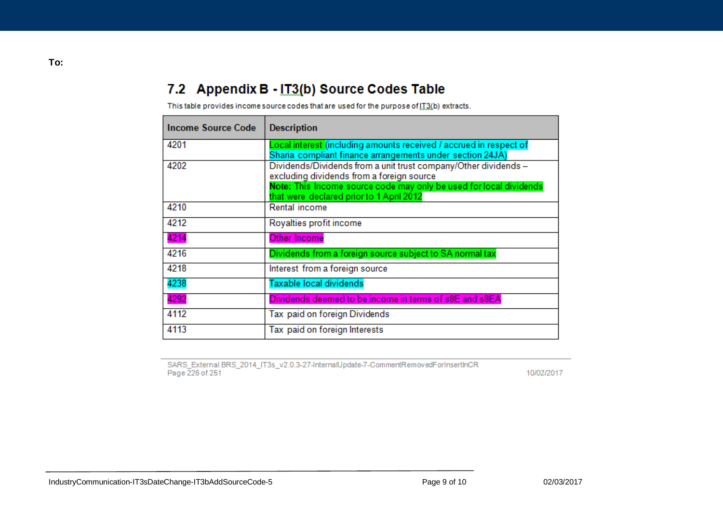# 7.2 Appendix B - IT3(b) Source Codes Table

This table provides income source codes that are used for the purpose of [T3(b) extracts.

| Income Source Code | <b>Description</b>                                                                                                                                                                                                             |
|--------------------|--------------------------------------------------------------------------------------------------------------------------------------------------------------------------------------------------------------------------------|
| 4201               | Local interest (including amounts received / accrued in respect of<br>Sharia compliant finance arrangements under section 24JA)                                                                                                |
| 4202               | Dividends/Dividends from a unit trust company/Other dividends -<br>excluding dividends from a foreign source<br>Note: This Income source code may only be used for local dividends<br>that were declared prior to 1 April 2012 |
| 4210               | Rental income                                                                                                                                                                                                                  |
| 4212               | Royalties profit income                                                                                                                                                                                                        |
| 4214               | Other Income                                                                                                                                                                                                                   |
| 4216               | Dividends from a foreign source subject to SA normal tax                                                                                                                                                                       |
| 4218               | Interest from a foreign source                                                                                                                                                                                                 |
| 4238               | Taxable local dividends                                                                                                                                                                                                        |
| 4292               | Dividends deemed to be income in terms of s8E and s8EA                                                                                                                                                                         |
| 4112               | Tax paid on foreign Dividends                                                                                                                                                                                                  |
| 4113               | Tax paid on foreign Interests                                                                                                                                                                                                  |

SARS\_External BRS\_2014\_IT3s\_v2.0.3-27-InternalUpdate-7-CommentRemovedForInsertInCR<br>Page 226 of 251

10/02/2017